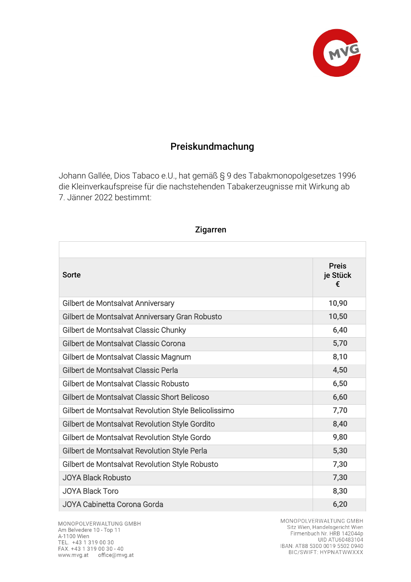

## Preiskundmachung

Johann Gallée, Dios Tabaco e.U., hat gemäß § 9 des Tabakmonopolgesetzes 1996 die Kleinverkaufspreise für die nachstehenden Tabakerzeugnisse mit Wirkung ab 7. Jänner 2022 bestimmt:

| Sorte                                                | <b>Preis</b><br>je Stück<br>€ |
|------------------------------------------------------|-------------------------------|
| Gilbert de Montsalvat Anniversary                    | 10,90                         |
| Gilbert de Montsalvat Anniversary Gran Robusto       | 10,50                         |
| Gilbert de Montsalvat Classic Chunky                 | 6,40                          |
| Gilbert de Montsalvat Classic Corona                 | 5,70                          |
| Gilbert de Montsalvat Classic Magnum                 | 8,10                          |
| Gilbert de Montsalvat Classic Perla                  | 4,50                          |
| Gilbert de Montsalvat Classic Robusto                | 6,50                          |
| Gilbert de Montsalvat Classic Short Belicoso         | 6,60                          |
| Gilbert de Montsalvat Revolution Style Belicolissimo | 7,70                          |
| Gilbert de Montsalvat Revolution Style Gordito       | 8,40                          |
| Gilbert de Montsalvat Revolution Style Gordo         | 9,80                          |
| Gilbert de Montsalvat Revolution Style Perla         | 5,30                          |
| Gilbert de Montsalvat Revolution Style Robusto       | 7,30                          |
| <b>JOYA Black Robusto</b>                            | 7,30                          |
| <b>JOYA Black Toro</b>                               | 8,30                          |
| JOYA Cabinetta Corona Gorda                          | 6,20                          |

Zigarren

MONOPOLVERWALTUNG GMBH Am Belvedere 10 - Top 11 A-1100 Wien TEL. +43 1 319 00 30 FAX. +43 1 319 00 30 - 40 www.mvg.at office@mvg.at

MONOPOLVERWALTUNG GMBH Sitz Wien, Handelsgericht Wien Firmenbuch Nr. HRB 142044p UID ATU60483104 IBAN: AT88 5300 0019 5502 0940<br>BIC/SWIFT: HYPNATWWXXX